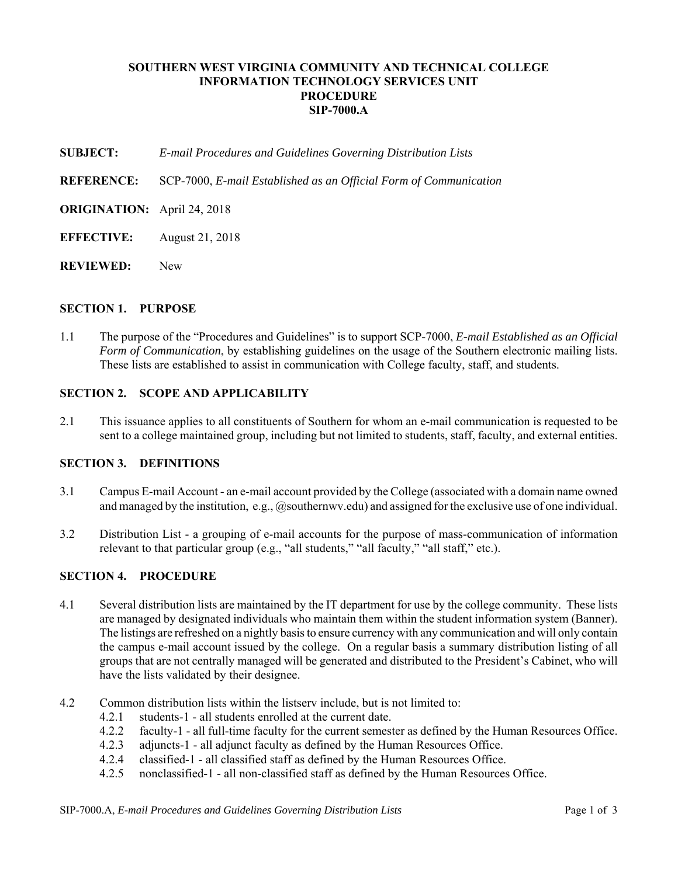# **SOUTHERN WEST VIRGINIA COMMUNITY AND TECHNICAL COLLEGE INFORMATION TECHNOLOGY SERVICES UNIT PROCEDURE SIP-7000.A**

**SUBJECT:** *E-mail Procedures and Guidelines Governing Distribution Lists*

**REFERENCE:** SCP-7000, *E-mail Established as an Official Form of Communication*

- **ORIGINATION:** April 24, 2018
- **EFFECTIVE:** August 21, 2018
- **REVIEWED:** New

### **SECTION 1. PURPOSE**

1.1 The purpose of the "Procedures and Guidelines" is to support SCP-7000, *E-mail Established as an Official Form of Communication*, by establishing guidelines on the usage of the Southern electronic mailing lists. These lists are established to assist in communication with College faculty, staff, and students.

### **SECTION 2. SCOPE AND APPLICABILITY**

2.1 This issuance applies to all constituents of Southern for whom an e-mail communication is requested to be sent to a college maintained group, including but not limited to students, staff, faculty, and external entities.

# **SECTION 3. DEFINITIONS**

- 3.1 Campus E-mail Account an e-mail account provided by the College (associated with a domain name owned and managed by the institution, e.g.,  $Q$  southernwy.edu) and assigned for the exclusive use of one individual.
- 3.2 Distribution List a grouping of e-mail accounts for the purpose of mass-communication of information relevant to that particular group (e.g., "all students," "all faculty," "all staff," etc.).

### **SECTION 4. PROCEDURE**

- 4.1 Several distribution lists are maintained by the IT department for use by the college community. These lists are managed by designated individuals who maintain them within the student information system (Banner). The listings are refreshed on a nightly basis to ensure currency with any communication and will only contain the campus e-mail account issued by the college. On a regular basis a summary distribution listing of all groups that are not centrally managed will be generated and distributed to the President's Cabinet, who will have the lists validated by their designee.
- 4.2 Common distribution lists within the listserv include, but is not limited to:
	- 4.2.1 students-1 all students enrolled at the current date.
	- 4.2.2 faculty-1 all full-time faculty for the current semester as defined by the Human Resources Office.
	- 4.2.3 adjuncts-1 all adjunct faculty as defined by the Human Resources Office.
	- 4.2.4 classified-1 all classified staff as defined by the Human Resources Office.<br>4.2.5 nonclassified-1 all non-classified staff as defined by the Human Resources
	- 4.2.5 nonclassified-1 all non-classified staff as defined by the Human Resources Office.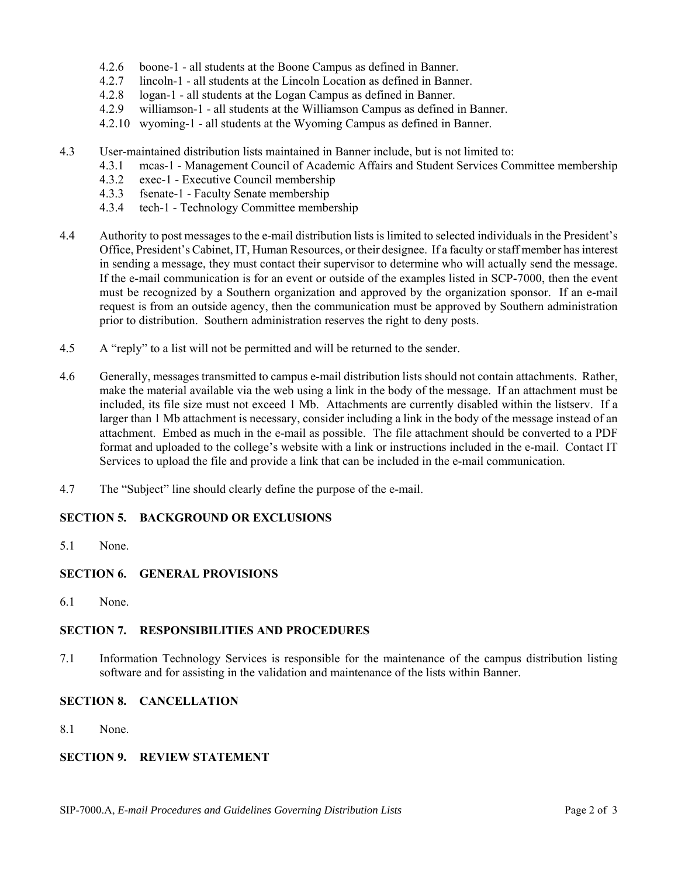- 4.2.6 boone-1 all students at the Boone Campus as defined in Banner.
- 4.2.7 lincoln-1 all students at the Lincoln Location as defined in Banner.
- 4.2.8 logan-1 all students at the Logan Campus as defined in Banner.
- 4.2.9 williamson-1 all students at the Williamson Campus as defined in Banner.
- 4.2.10 wyoming-1 all students at the Wyoming Campus as defined in Banner.
- 4.3 User-maintained distribution lists maintained in Banner include, but is not limited to:
	- 4.3.1 mcas-1 Management Council of Academic Affairs and Student Services Committee membership
	- 4.3.2 exec-1 Executive Council membership
	- 4.3.3 fsenate-1 Faculty Senate membership
	- 4.3.4 tech-1 Technology Committee membership
- 4.4 Authority to post messages to the e-mail distribution lists is limited to selected individuals in the President's Office, President's Cabinet, IT, Human Resources, or their designee. If a faculty or staff member has interest in sending a message, they must contact their supervisor to determine who will actually send the message. If the e-mail communication is for an event or outside of the examples listed in SCP-7000, then the event must be recognized by a Southern organization and approved by the organization sponsor. If an e-mail request is from an outside agency, then the communication must be approved by Southern administration prior to distribution. Southern administration reserves the right to deny posts.
- 4.5 A "reply" to a list will not be permitted and will be returned to the sender.
- 4.6 Generally, messages transmitted to campus e-mail distribution lists should not contain attachments. Rather, make the material available via the web using a link in the body of the message. If an attachment must be included, its file size must not exceed 1 Mb. Attachments are currently disabled within the listserv. If a larger than 1 Mb attachment is necessary, consider including a link in the body of the message instead of an attachment. Embed as much in the e-mail as possible. The file attachment should be converted to a PDF format and uploaded to the college's website with a link or instructions included in the e-mail. Contact IT Services to upload the file and provide a link that can be included in the e-mail communication.
- 4.7 The "Subject" line should clearly define the purpose of the e-mail.

## **SECTION 5. BACKGROUND OR EXCLUSIONS**

5.1 None.

# **SECTION 6. GENERAL PROVISIONS**

6.1 None.

#### **SECTION 7. RESPONSIBILITIES AND PROCEDURES**

7.1 Information Technology Services is responsible for the maintenance of the campus distribution listing software and for assisting in the validation and maintenance of the lists within Banner.

### **SECTION 8. CANCELLATION**

8.1 None.

## **SECTION 9. REVIEW STATEMENT**